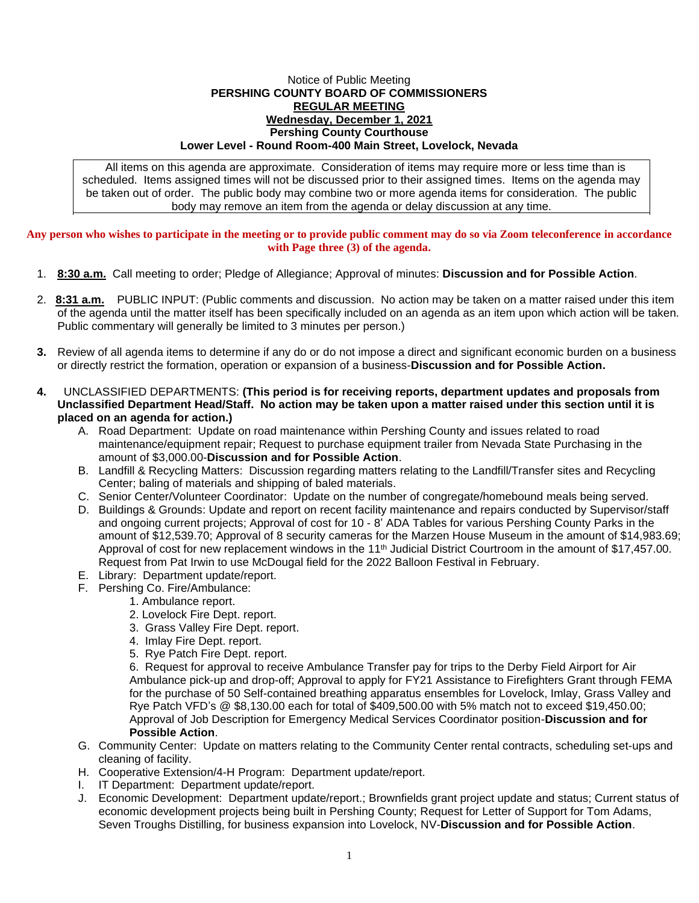## Notice of Public Meeting **PERSHING COUNTY BOARD OF COMMISSIONERS REGULAR MEETING Wednesday, December 1, 2021 Pershing County Courthouse Lower Level - Round Room-400 Main Street, Lovelock, Nevada**

All items on this agenda are approximate. Consideration of items may require more or less time than is scheduled. Items assigned times will not be discussed prior to their assigned times. Items on the agenda may be taken out of order. The public body may combine two or more agenda items for consideration. The public body may remove an item from the agenda or delay discussion at any time.

**Any person who wishes to participate in the meeting or to provide public comment may do so via Zoom teleconference in accordance with Page three (3) of the agenda.**

- 1. **8:30 a.m.** Call meeting to order; Pledge of Allegiance; Approval of minutes: **Discussion and for Possible Action**.
- 2. **8:31 a.m.** PUBLIC INPUT: (Public comments and discussion. No action may be taken on a matter raised under this item of the agenda until the matter itself has been specifically included on an agenda as an item upon which action will be taken. Public commentary will generally be limited to 3 minutes per person.)
- **3.** Review of all agenda items to determine if any do or do not impose a direct and significant economic burden on a business or directly restrict the formation, operation or expansion of a business-**Discussion and for Possible Action.**
- **4.** UNCLASSIFIED DEPARTMENTS: **(This period is for receiving reports, department updates and proposals from Unclassified Department Head/Staff. No action may be taken upon a matter raised under this section until it is placed on an agenda for action.)**
	- A. Road Department: Update on road maintenance within Pershing County and issues related to road maintenance/equipment repair; Request to purchase equipment trailer from Nevada State Purchasing in the amount of \$3,000.00-**Discussion and for Possible Action**.
	- B. Landfill & Recycling Matters: Discussion regarding matters relating to the Landfill/Transfer sites and Recycling Center; baling of materials and shipping of baled materials.
	- C. Senior Center/Volunteer Coordinator: Update on the number of congregate/homebound meals being served.
	- D. Buildings & Grounds: Update and report on recent facility maintenance and repairs conducted by Supervisor/staff and ongoing current projects; Approval of cost for 10 - 8' ADA Tables for various Pershing County Parks in the amount of \$12,539.70; Approval of 8 security cameras for the Marzen House Museum in the amount of \$14,983.69; Approval of cost for new replacement windows in the 11<sup>th</sup> Judicial District Courtroom in the amount of \$17,457.00. Request from Pat Irwin to use McDougal field for the 2022 Balloon Festival in February.
	- E. Library: Department update/report.
	- F. Pershing Co. Fire/Ambulance:
		- 1. Ambulance report.
		- 2. Lovelock Fire Dept. report.
		- 3. Grass Valley Fire Dept. report.
		- 4. Imlay Fire Dept. report.
		- 5. Rye Patch Fire Dept. report.

6. Request for approval to receive Ambulance Transfer pay for trips to the Derby Field Airport for Air Ambulance pick-up and drop-off; Approval to apply for FY21 Assistance to Firefighters Grant through FEMA for the purchase of 50 Self-contained breathing apparatus ensembles for Lovelock, Imlay, Grass Valley and Rye Patch VFD's @ \$8,130.00 each for total of \$409,500.00 with 5% match not to exceed \$19,450.00; Approval of Job Description for Emergency Medical Services Coordinator position-**Discussion and for Possible Action**.

- G. Community Center: Update on matters relating to the Community Center rental contracts, scheduling set-ups and cleaning of facility.
- H. Cooperative Extension/4-H Program: Department update/report.
- I. IT Department: Department update/report.
- J. Economic Development: Department update/report.; Brownfields grant project update and status; Current status of economic development projects being built in Pershing County; Request for Letter of Support for Tom Adams, Seven Troughs Distilling, for business expansion into Lovelock, NV-**Discussion and for Possible Action**.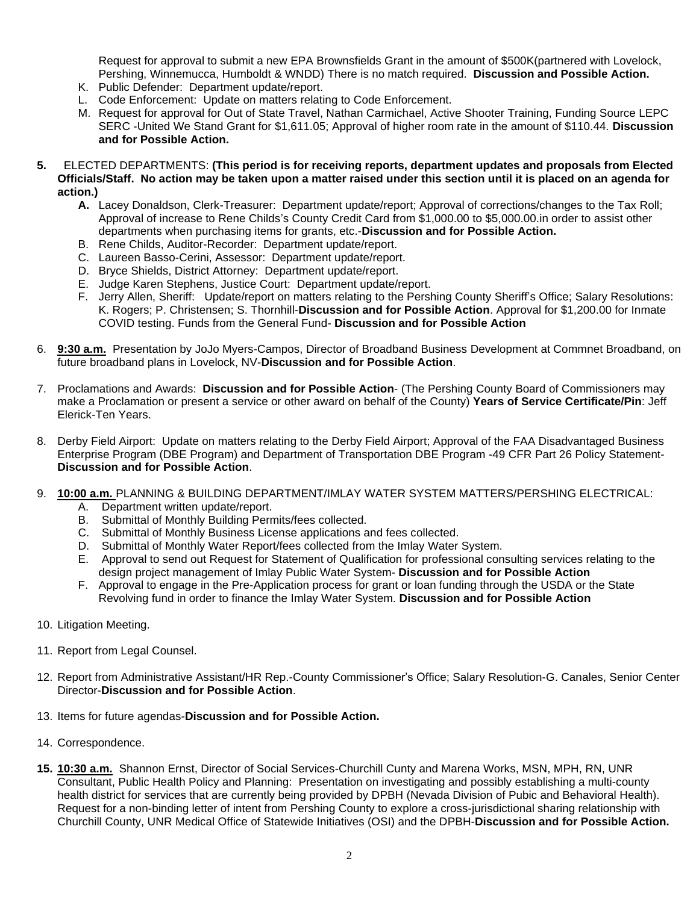Request for approval to submit a new EPA Brownsfields Grant in the amount of \$500K(partnered with Lovelock, Pershing, Winnemucca, Humboldt & WNDD) There is no match required. **Discussion and Possible Action.**

- K. Public Defender: Department update/report.
- L. Code Enforcement: Update on matters relating to Code Enforcement.
- M. Request for approval for Out of State Travel, Nathan Carmichael, Active Shooter Training, Funding Source LEPC SERC -United We Stand Grant for \$1,611.05; Approval of higher room rate in the amount of \$110.44. **Discussion and for Possible Action.**
- **5.** ELECTED DEPARTMENTS: **(This period is for receiving reports, department updates and proposals from Elected Officials/Staff. No action may be taken upon a matter raised under this section until it is placed on an agenda for action.)**
	- **A.** Lacey Donaldson, Clerk-Treasurer: Department update/report; Approval of corrections/changes to the Tax Roll; Approval of increase to Rene Childs's County Credit Card from \$1,000.00 to \$5,000.00.in order to assist other departments when purchasing items for grants, etc.-**Discussion and for Possible Action.**
	- B. Rene Childs, Auditor-Recorder: Department update/report.
	- C. Laureen Basso-Cerini, Assessor: Department update/report.
	- D. Bryce Shields, District Attorney: Department update/report.
	- E. Judge Karen Stephens, Justice Court: Department update/report.
	- F. Jerry Allen, Sheriff: Update/report on matters relating to the Pershing County Sheriff's Office; Salary Resolutions: K. Rogers; P. Christensen; S. Thornhill-**Discussion and for Possible Action**. Approval for \$1,200.00 for Inmate COVID testing. Funds from the General Fund- **Discussion and for Possible Action**
- 6. **9:30 a.m.** Presentation by JoJo Myers-Campos, Director of Broadband Business Development at Commnet Broadband, on future broadband plans in Lovelock, NV-**Discussion and for Possible Action**.
- 7. Proclamations and Awards: **Discussion and for Possible Action** (The Pershing County Board of Commissioners may make a Proclamation or present a service or other award on behalf of the County) **Years of Service Certificate/Pin**: Jeff Elerick-Ten Years.
- 8. Derby Field Airport: Update on matters relating to the Derby Field Airport; Approval of the FAA Disadvantaged Business Enterprise Program (DBE Program) and Department of Transportation DBE Program -49 CFR Part 26 Policy Statement-**Discussion and for Possible Action**.
- 9. **10:00 a.m.** PLANNING & BUILDING DEPARTMENT/IMLAY WATER SYSTEM MATTERS/PERSHING ELECTRICAL:
	- A. Department written update/report.
	- B. Submittal of Monthly Building Permits/fees collected.
	- C. Submittal of Monthly Business License applications and fees collected.
	- D. Submittal of Monthly Water Report/fees collected from the Imlay Water System.
	- E. Approval to send out Request for Statement of Qualification for professional consulting services relating to the design project management of Imlay Public Water System- **Discussion and for Possible Action**
	- F. Approval to engage in the Pre-Application process for grant or loan funding through the USDA or the State Revolving fund in order to finance the Imlay Water System. **Discussion and for Possible Action**
- 10. Litigation Meeting.
- 11. Report from Legal Counsel.
- 12. Report from Administrative Assistant/HR Rep.-County Commissioner's Office; Salary Resolution-G. Canales, Senior Center Director-**Discussion and for Possible Action**.
- 13. Items for future agendas-**Discussion and for Possible Action.**
- 14. Correspondence.
- **15. 10:30 a.m.** Shannon Ernst, Director of Social Services-Churchill Cunty and Marena Works, MSN, MPH, RN, UNR Consultant, Public Health Policy and Planning: Presentation on investigating and possibly establishing a multi-county health district for services that are currently being provided by DPBH (Nevada Division of Pubic and Behavioral Health). Request for a non-binding letter of intent from Pershing County to explore a cross-jurisdictional sharing relationship with Churchill County, UNR Medical Office of Statewide Initiatives (OSI) and the DPBH-**Discussion and for Possible Action.**